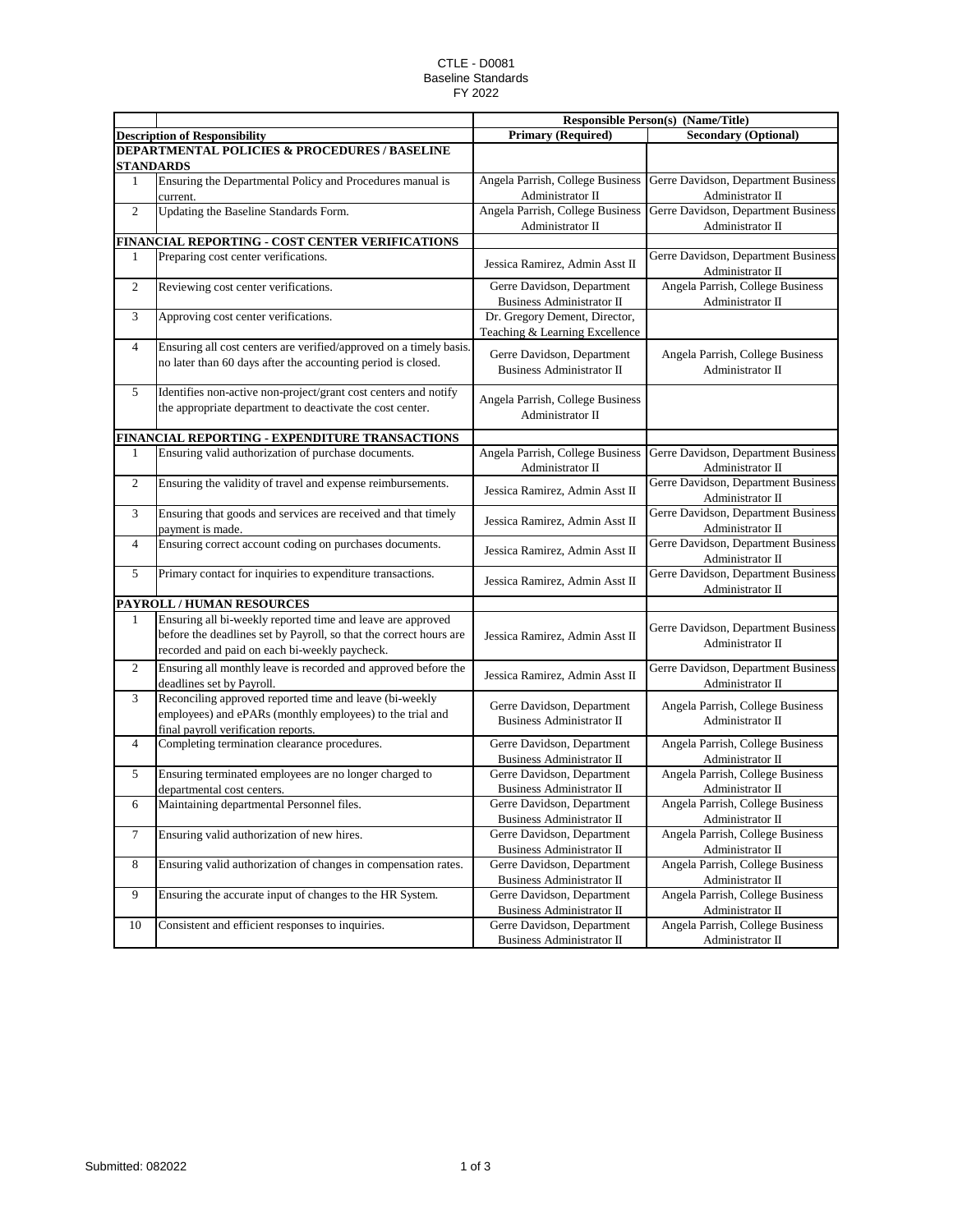## CTLE - D0081 Baseline Standards FY 2022

|                |                                                                                                                                                                                    | <b>Responsible Person(s) (Name/Title)</b>                       |                                                         |
|----------------|------------------------------------------------------------------------------------------------------------------------------------------------------------------------------------|-----------------------------------------------------------------|---------------------------------------------------------|
|                | <b>Description of Responsibility</b>                                                                                                                                               | <b>Primary (Required)</b>                                       | <b>Secondary (Optional)</b>                             |
|                | <b>DEPARTMENTAL POLICIES &amp; PROCEDURES / BASELINE</b><br><b>STANDARDS</b>                                                                                                       |                                                                 |                                                         |
| $\mathbf{1}$   | Ensuring the Departmental Policy and Procedures manual is<br>current.                                                                                                              | Angela Parrish, College Business<br>Administrator II            | Gerre Davidson, Department Business<br>Administrator II |
| $\overline{2}$ | Updating the Baseline Standards Form.                                                                                                                                              | Angela Parrish, College Business<br>Administrator II            | Gerre Davidson, Department Business<br>Administrator II |
|                | FINANCIAL REPORTING - COST CENTER VERIFICATIONS                                                                                                                                    |                                                                 |                                                         |
| 1              | Preparing cost center verifications.                                                                                                                                               | Jessica Ramirez, Admin Asst II                                  | Gerre Davidson, Department Business<br>Administrator II |
| 2              | Reviewing cost center verifications.                                                                                                                                               | Gerre Davidson, Department<br><b>Business Administrator II</b>  | Angela Parrish, College Business<br>Administrator II    |
| 3              | Approving cost center verifications.                                                                                                                                               | Dr. Gregory Dement, Director,<br>Teaching & Learning Excellence |                                                         |
| 4              | Ensuring all cost centers are verified/approved on a timely basis.<br>no later than 60 days after the accounting period is closed.                                                 | Gerre Davidson, Department<br><b>Business Administrator II</b>  | Angela Parrish, College Business<br>Administrator II    |
| 5              | Identifies non-active non-project/grant cost centers and notify<br>the appropriate department to deactivate the cost center.                                                       | Angela Parrish, College Business<br>Administrator II            |                                                         |
|                | FINANCIAL REPORTING - EXPENDITURE TRANSACTIONS                                                                                                                                     |                                                                 |                                                         |
| 1              | Ensuring valid authorization of purchase documents.                                                                                                                                | Angela Parrish, College Business<br>Administrator II            | Gerre Davidson, Department Business<br>Administrator II |
| 2              | Ensuring the validity of travel and expense reimbursements.                                                                                                                        | Jessica Ramirez, Admin Asst II                                  | Gerre Davidson, Department Business<br>Administrator II |
| 3              | Ensuring that goods and services are received and that timely<br>payment is made.                                                                                                  | Jessica Ramirez, Admin Asst II                                  | Gerre Davidson, Department Business<br>Administrator II |
| 4              | Ensuring correct account coding on purchases documents.                                                                                                                            | Jessica Ramirez, Admin Asst II                                  | Gerre Davidson, Department Business<br>Administrator II |
| 5              | Primary contact for inquiries to expenditure transactions.                                                                                                                         | Jessica Ramirez, Admin Asst II                                  | Gerre Davidson, Department Business<br>Administrator II |
|                | <b>PAYROLL / HUMAN RESOURCES</b>                                                                                                                                                   |                                                                 |                                                         |
| 1              | Ensuring all bi-weekly reported time and leave are approved<br>before the deadlines set by Payroll, so that the correct hours are<br>recorded and paid on each bi-weekly paycheck. | Jessica Ramirez, Admin Asst II                                  | Gerre Davidson, Department Business<br>Administrator II |
| 2              | Ensuring all monthly leave is recorded and approved before the<br>deadlines set by Payroll.                                                                                        | Jessica Ramirez, Admin Asst II                                  | Gerre Davidson, Department Business<br>Administrator II |
| 3              | Reconciling approved reported time and leave (bi-weekly<br>employees) and ePARs (monthly employees) to the trial and<br>final payroll verification reports.                        | Gerre Davidson, Department<br><b>Business Administrator II</b>  | Angela Parrish, College Business<br>Administrator II    |
| 4              | Completing termination clearance procedures.                                                                                                                                       | Gerre Davidson, Department<br><b>Business Administrator II</b>  | Angela Parrish, College Business<br>Administrator II    |
| 5              | Ensuring terminated employees are no longer charged to<br>departmental cost centers.                                                                                               | Gerre Davidson, Department<br><b>Business Administrator II</b>  | Angela Parrish, College Business<br>Administrator II    |
| 6              | Maintaining departmental Personnel files.                                                                                                                                          | Gerre Davidson, Department<br><b>Business Administrator II</b>  | Angela Parrish, College Business<br>Administrator II    |
| 7              | Ensuring valid authorization of new hires.                                                                                                                                         | Gerre Davidson, Department<br>Business Administrator II         | Angela Parrish, College Business<br>Administrator II    |
| 8              | Ensuring valid authorization of changes in compensation rates.                                                                                                                     | Gerre Davidson, Department<br>Business Administrator II         | Angela Parrish, College Business<br>Administrator II    |
| 9              | Ensuring the accurate input of changes to the HR System.                                                                                                                           | Gerre Davidson, Department<br><b>Business Administrator II</b>  | Angela Parrish, College Business<br>Administrator II    |
| 10             | Consistent and efficient responses to inquiries.                                                                                                                                   | Gerre Davidson, Department<br><b>Business Administrator II</b>  | Angela Parrish, College Business<br>Administrator II    |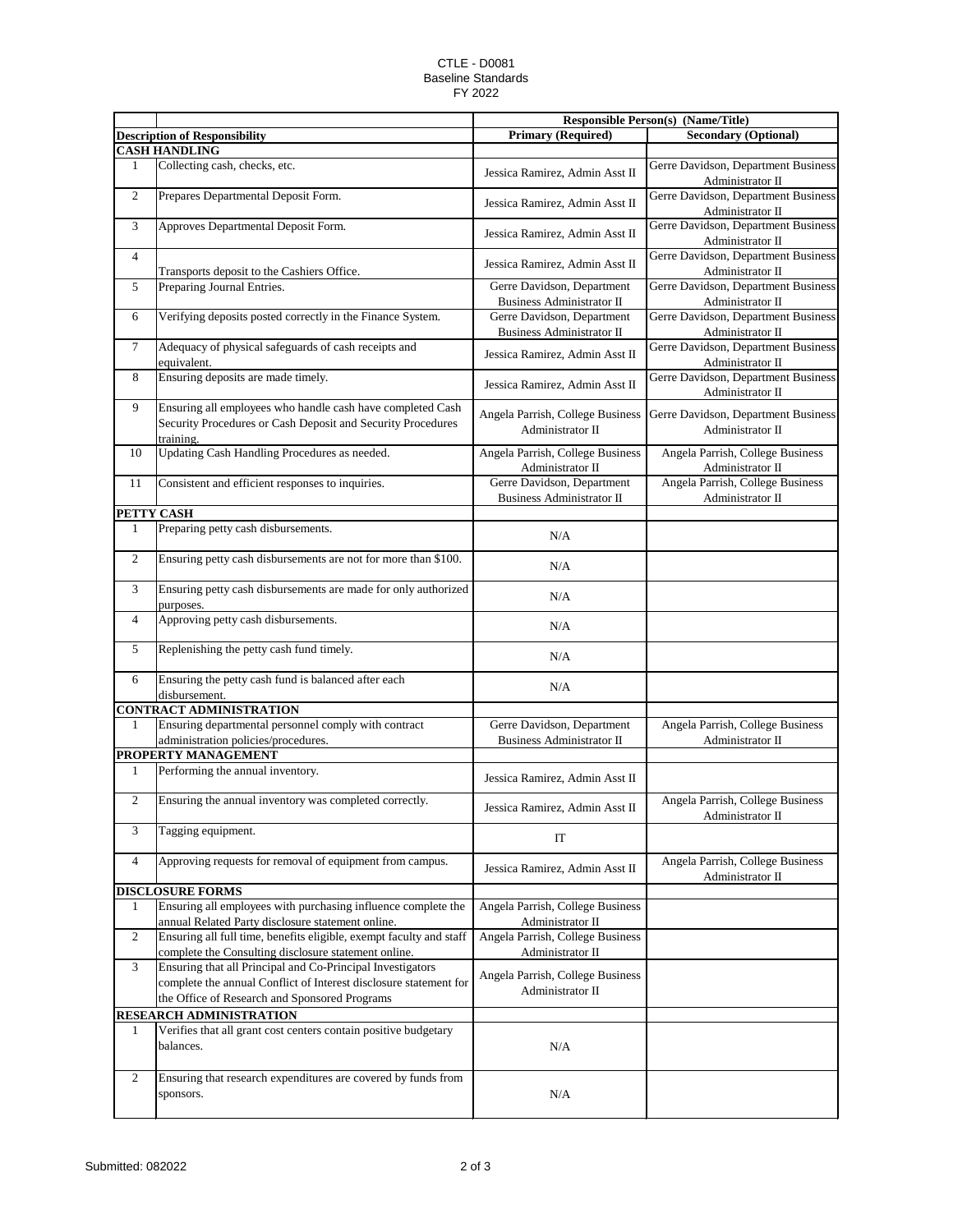## CTLE - D0081 Baseline Standards FY 2022

|                         |                                                                                                                                                                                  | <b>Responsible Person(s) (Name/Title)</b>                      |                                                         |  |
|-------------------------|----------------------------------------------------------------------------------------------------------------------------------------------------------------------------------|----------------------------------------------------------------|---------------------------------------------------------|--|
|                         | <b>Description of Responsibility</b>                                                                                                                                             | <b>Primary (Required)</b>                                      | <b>Secondary (Optional)</b>                             |  |
|                         | <b>CASH HANDLING</b>                                                                                                                                                             |                                                                |                                                         |  |
| 1                       | Collecting cash, checks, etc.                                                                                                                                                    | Jessica Ramirez, Admin Asst II                                 | Gerre Davidson, Department Business<br>Administrator II |  |
| $\overline{2}$          | Prepares Departmental Deposit Form.                                                                                                                                              | Jessica Ramirez, Admin Asst II                                 | Gerre Davidson, Department Business<br>Administrator II |  |
| 3                       | Approves Departmental Deposit Form.                                                                                                                                              | Jessica Ramirez, Admin Asst II                                 | Gerre Davidson, Department Business<br>Administrator II |  |
| $\overline{4}$          | Transports deposit to the Cashiers Office.                                                                                                                                       | Jessica Ramirez, Admin Asst II                                 | Gerre Davidson, Department Business<br>Administrator II |  |
| 5                       | Preparing Journal Entries.                                                                                                                                                       | Gerre Davidson, Department<br><b>Business Administrator II</b> | Gerre Davidson, Department Business<br>Administrator II |  |
| 6                       | Verifying deposits posted correctly in the Finance System.                                                                                                                       | Gerre Davidson, Department<br>Business Administrator II        | Gerre Davidson, Department Business<br>Administrator II |  |
| $\tau$                  | Adequacy of physical safeguards of cash receipts and<br>equivalent.                                                                                                              | Jessica Ramirez, Admin Asst II                                 | Gerre Davidson, Department Business<br>Administrator II |  |
| 8                       | Ensuring deposits are made timely.                                                                                                                                               | Jessica Ramirez, Admin Asst II                                 | Gerre Davidson, Department Business<br>Administrator II |  |
| 9                       | Ensuring all employees who handle cash have completed Cash<br>Security Procedures or Cash Deposit and Security Procedures<br>training.                                           | Angela Parrish, College Business<br>Administrator II           | Gerre Davidson, Department Business<br>Administrator II |  |
| 10                      | Updating Cash Handling Procedures as needed.                                                                                                                                     | Angela Parrish, College Business<br>Administrator II           | Angela Parrish, College Business<br>Administrator II    |  |
| 11                      | Consistent and efficient responses to inquiries.                                                                                                                                 | Gerre Davidson, Department<br><b>Business Administrator II</b> | Angela Parrish, College Business<br>Administrator II    |  |
| PETTY CASH              |                                                                                                                                                                                  |                                                                |                                                         |  |
| 1                       | Preparing petty cash disbursements.                                                                                                                                              | N/A                                                            |                                                         |  |
| $\mathbf{2}$            | Ensuring petty cash disbursements are not for more than \$100.                                                                                                                   | N/A                                                            |                                                         |  |
| 3                       | Ensuring petty cash disbursements are made for only authorized<br>purposes.                                                                                                      | N/A                                                            |                                                         |  |
| $\overline{4}$          | Approving petty cash disbursements.                                                                                                                                              | N/A                                                            |                                                         |  |
| 5                       | Replenishing the petty cash fund timely.                                                                                                                                         | N/A                                                            |                                                         |  |
| 6                       | Ensuring the petty cash fund is balanced after each<br>disbursement.                                                                                                             | N/A                                                            |                                                         |  |
|                         | <b>CONTRACT ADMINISTRATION</b>                                                                                                                                                   |                                                                |                                                         |  |
| 1                       | Ensuring departmental personnel comply with contract<br>administration policies/procedures.                                                                                      | Gerre Davidson, Department<br><b>Business Administrator II</b> | Angela Parrish, College Business<br>Administrator II    |  |
|                         | PROPERTY MANAGEMENT                                                                                                                                                              |                                                                |                                                         |  |
| 1                       | Performing the annual inventory.                                                                                                                                                 | Jessica Ramirez, Admin Asst II                                 |                                                         |  |
| $\overline{2}$          | Ensuring the annual inventory was completed correctly.                                                                                                                           | Jessica Ramirez, Admin Asst II                                 | Angela Parrish, College Business<br>Administrator II    |  |
| 3                       | Tagging equipment.                                                                                                                                                               | IT                                                             |                                                         |  |
| $\overline{4}$          | Approving requests for removal of equipment from campus.                                                                                                                         | Jessica Ramirez, Admin Asst II                                 | Angela Parrish, College Business<br>Administrator II    |  |
|                         | <b>DISCLOSURE FORMS</b>                                                                                                                                                          |                                                                |                                                         |  |
| $\mathbf{1}$            | Ensuring all employees with purchasing influence complete the<br>annual Related Party disclosure statement online.                                                               | Angela Parrish, College Business<br>Administrator II           |                                                         |  |
| $\overline{2}$          | Ensuring all full time, benefits eligible, exempt faculty and staff<br>complete the Consulting disclosure statement online.                                                      | Angela Parrish, College Business<br>Administrator II           |                                                         |  |
| 3                       | Ensuring that all Principal and Co-Principal Investigators<br>complete the annual Conflict of Interest disclosure statement for<br>the Office of Research and Sponsored Programs | Angela Parrish, College Business<br>Administrator II           |                                                         |  |
| RESEARCH ADMINISTRATION |                                                                                                                                                                                  |                                                                |                                                         |  |
| 1                       | Verifies that all grant cost centers contain positive budgetary<br>balances.                                                                                                     | N/A                                                            |                                                         |  |
| 2                       | Ensuring that research expenditures are covered by funds from<br>sponsors.                                                                                                       | N/A                                                            |                                                         |  |